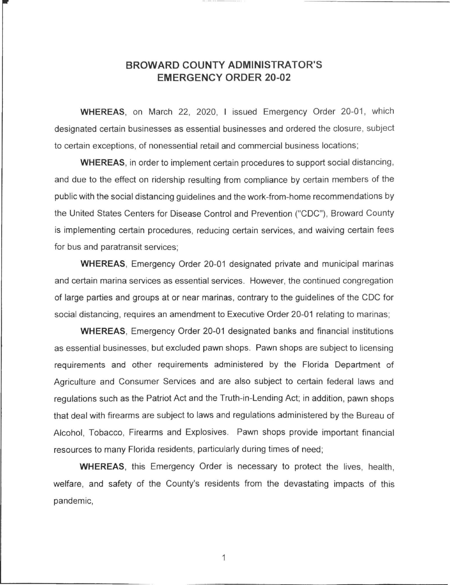## **BROWARD COUNTY ADMINISTRATOR'S EMERGENCY ORDER 20-02**

WHEREAS, on March 22, 2020, I issued Emergency Order 20-01, which designated certain businesses as essential businesses and ordered the closure, subject to certain exceptions, of nonessential retail and commercial business locations;

**WHEREAS,** in order to implement certain procedures to support social distancing, and due to the effect on ridership resulting from compliance by certain members of the public with the social distancing guidelines and the work-from-home recommendations by the United States Centers for Disease Control and Prevention ("CDC"), Broward County is implementing certain procedures, reducing certain services, and waiving certain fees for bus and paratransit services;

**WHEREAS,** Emergency Order 20-01 designated private and municipal marinas and certain marina services as essential services. However, the continued congregation of large parties and groups at or near marinas, contrary to the guidelines of the CDC for social distancing, requires an amendment to Executive Order 20-01 relating to marinas;

**WHEREAS,** Emergency Order 20-01 designated banks and financial institutions as essential businesses, but excluded pawn shops. Pawn shops are subject to licensing requirements and other requirements administered by the Florida Department of Agriculture and Consumer Services and are also subject to certain federal laws and regulations such as the Patriot Act and the Truth-in-Lending Act; in addition, pawn shops that deal with firearms are subject to laws and regulations administered by the Bureau of Alcohol, Tobacco, Firearms and Explosives. Pawn shops provide important financial resources to many Florida residents, particularly during times of need;

**WHEREAS,** this Emergency Order is necessary to protect the lives, health, welfare, and safety of the County's residents from the devastating impacts of this pandemic,

1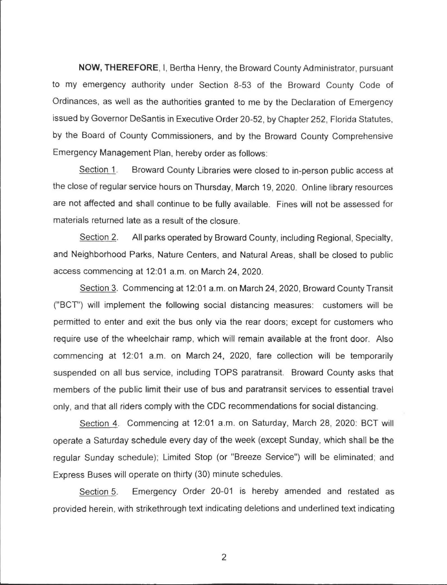**NOW, THEREFORE,** I, Bertha Henry, the Broward County Administrator, pursuant to my emergency authority under Section 8-53 of the Broward County Code of Ordinances, as well as the authorities granted to me by the Declaration of Emergency issued by Governor DeSantis in Executive Order 20-52, by Chapter 252, Florida Statutes, by the Board of County Commissioners, and by the Broward County Comprehensive Emergency Management Plan, hereby order as follows:

Section 1. Broward County Libraries were closed to in-person public access at the close of regular service hours on Thursday, March 19, 2020. Online library resources are not affected and shall continue to be fully available. Fines will not be assessed for materials returned late as a result of the closure.

Section 2. All parks operated by Broward County, including Regional, Specialty, and Neighborhood Parks, Nature Centers, and Natural Areas, shall be closed to public access commencing at 12:01 a.m. on March 24, 2020.

Section 3. Commencing at 12:01 a.m. on March 24, 2020, Broward County Transit ("BCT") will implement the following social distancing measures: customers will be permitted to enter and exit the bus only via the rear doors; except for customers who require use of the wheelchair ramp, which will remain available at the front door. Also commencing at 12:01 a.m. on March 24, 2020, fare collection will be temporarily suspended on all bus service, including TOPS paratransit. Broward County asks that members of the public limit their use of bus and paratransit services to essential travel only, and that all riders comply with the CDC recommendations for social distancing.

Section 4. Commencing at 12:01 a.m. on Saturday, March 28, 2020: BCT will operate a Saturday schedule every day of the week (except Sunday, which shall be the regular Sunday schedule); Limited Stop (or "Breeze Service") will be eliminated; and Express Buses will operate on thirty (30) minute schedules.

Section 5. Emergency Order 20-01 is hereby amended and restated as provided herein, with strikethrough text indicating deletions and underlined text indicating

2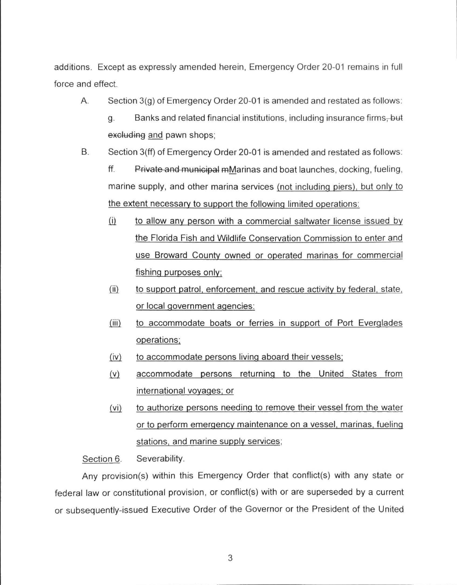additions. Except as expressly amended herein, Emergency Order 20-01 remains in full force and effect.

A. Section 3(g) of Emergency Order 20-01 is amended and restated as follows:

g. Banks and related financial institutions, including insurance firms, but excluding and pawn shops;

B. Section 3(ff) of Emergency Order 20-01 is amended and restated as follows:

ff. Private and municipal mMarinas and boat launches, docking, fueling, marine supply, and other marina services (not including piers), but only to the extent necessary to support the following limited operations:

- $(i)$  to allow any person with a commercial saltwater license issued by the Florida Fish and Wildlife Conservation Commission to enter and use Broward County owned or operated marinas for commercial fishing purposes only:
- $(i)$  to support patrol, enforcement, and rescue activity by federal, state, or local government agencies:
- (iii) to accommodate boats or ferries in support of Port Everglades operations:
- (iv) to accommodate persons living aboard their vessels:
- (v) accommodate persons returning to the United States from international voyages; or
- (yi) to authorize persons needing to remove their vessel from the water or to perform emergency maintenance on a vessel, marinas, fueling stations, and marine supply services;

Section 6. Severability.

Any provision(s) within this Emergency Order that conflict(s) with any state or federal law or constitutional provision, or conflict(s) with or are superseded by a current or subsequently-issued Executive Order of the Governor or the President of the United